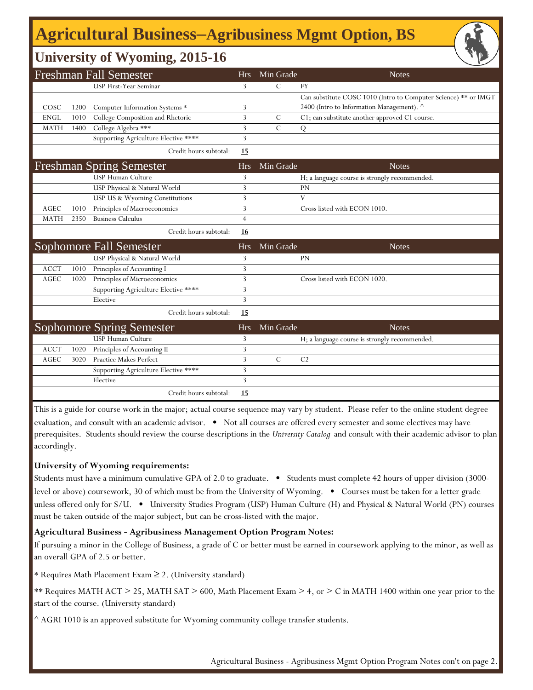# **Agricultural Business‒Agribusiness Mgmt Option, BS**

## **University of Wyoming, 2015-16**

|             |      | <b>Freshman Fall Semester</b>        | <b>Hrs</b>     | Min Grade      | <b>Notes</b>                                                    |
|-------------|------|--------------------------------------|----------------|----------------|-----------------------------------------------------------------|
|             |      | <b>USP First-Year Seminar</b>        | 3              | $\mathcal{C}$  | <b>FY</b>                                                       |
|             |      |                                      |                |                | Can substitute COSC 1010 (Intro to Computer Science) ** or IMGT |
| COSC        | 1200 | Computer Information Systems *       | 3              |                | 2400 (Intro to Information Management). ^                       |
| <b>ENGL</b> | 1010 | College Composition and Rhetoric     | 3              | $\mathcal{C}$  | C1; can substitute another approved C1 course.                  |
| <b>MATH</b> | 1400 | College Algebra ***                  | 3              | $\overline{C}$ | Q                                                               |
|             |      | Supporting Agriculture Elective **** | 3              |                |                                                                 |
|             |      | Credit hours subtotal:               | 15             |                |                                                                 |
|             |      | <b>Freshman Spring Semester</b>      | <b>Hrs</b>     | Min Grade      | <b>Notes</b>                                                    |
|             |      | USP Human Culture                    | 3              |                | H; a language course is strongly recommended.                   |
|             |      | USP Physical & Natural World         | 3              |                | <b>PN</b>                                                       |
|             |      | USP US & Wyoming Constitutions       | 3              |                | V                                                               |
| <b>AGEC</b> | 1010 | Principles of Macroeconomics         | 3              |                | Cross listed with ECON 1010.                                    |
| <b>MATH</b> | 2350 | <b>Business Calculus</b>             | $\overline{4}$ |                |                                                                 |
|             |      | Credit hours subtotal:               | <u>16</u>      |                |                                                                 |
|             |      | Sophomore Fall Semester              | <b>Hrs</b>     | Min Grade      | <b>Notes</b>                                                    |
|             |      | USP Physical & Natural World         | 3              |                | <b>PN</b>                                                       |
| <b>ACCT</b> | 1010 | Principles of Accounting I           | 3              |                |                                                                 |
| AGEC        | 1020 | Principles of Microeconomics         | 3              |                | Cross listed with ECON 1020.                                    |
|             |      | Supporting Agriculture Elective **** | 3              |                |                                                                 |
|             |      | Elective                             | 3              |                |                                                                 |
|             |      | Credit hours subtotal:               | 15             |                |                                                                 |
|             |      | <b>Sophomore Spring Semester</b>     | <b>Hrs</b>     | Min Grade      | <b>Notes</b>                                                    |
|             |      | <b>USP Human Culture</b>             | 3              |                | H; a language course is strongly recommended.                   |
| <b>ACCT</b> | 1020 | Principles of Accounting II          | 3              |                |                                                                 |
| <b>AGEC</b> | 3020 | <b>Practice Makes Perfect</b>        | 3              | $\mathcal{C}$  | C <sub>2</sub>                                                  |
|             |      | Supporting Agriculture Elective **** | 3              |                |                                                                 |
|             |      | Elective                             | 3              |                |                                                                 |
|             |      | Credit hours subtotal:               | 15             |                |                                                                 |

This is a guide for course work in the major; actual course sequence may vary by student. Please refer to the online student degree evaluation, and consult with an academic advisor. • Not all courses are offered every semester and some electives may have prerequisites. Students should review the course descriptions in the *University Catalog* and consult with their academic advisor to plan accordingly.

#### **University of Wyoming requirements:**

Students must have a minimum cumulative GPA of 2.0 to graduate. • Students must complete 42 hours of upper division (3000 level or above) coursework, 30 of which must be from the University of Wyoming. • Courses must be taken for a letter grade unless offered only for S/U. • University Studies Program (USP) Human Culture (H) and Physical & Natural World (PN) courses must be taken outside of the major subject, but can be cross-listed with the major.

#### **Agricultural Business - Agribusiness Management Option Program Notes:**

If pursuing a minor in the College of Business, a grade of C or better must be earned in coursework applying to the minor, as well as an overall GPA of 2.5 or better.

\* Requires Math Placement Exam ≥ 2. (University standard)

\*\* Requires MATH ACT  $\geq$  25, MATH SAT  $\geq$  600, Math Placement Exam  $\geq$  4, or  $\geq$  C in MATH 1400 within one year prior to the start of the course. (University standard)

 $^{\wedge}$  AGRI 1010 is an approved substitute for Wyoming community college transfer students.

Agricultural Business - Agribusiness Mgmt Option Program Notes con't on page 2.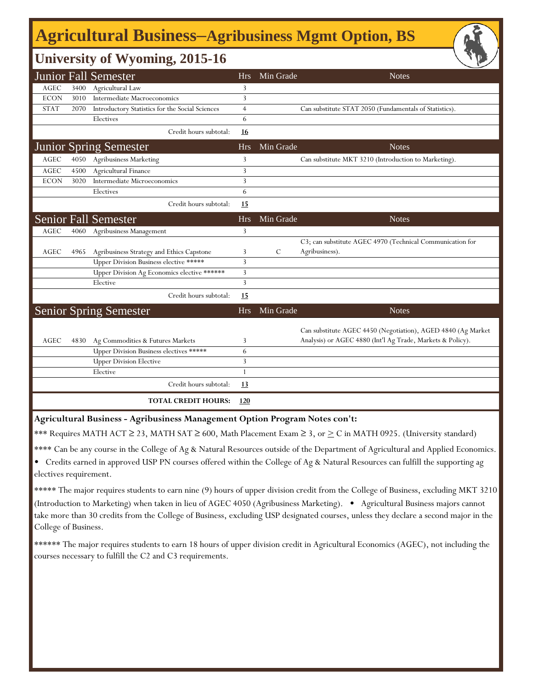## **Agricultural Business‒Agribusiness Mgmt Option, BS**

## **University of Wyoming, 2015-16**

|             |      | <b>Junior Fall Semester</b>                     | <b>Hrs</b>     | Min Grade | <b>Notes</b>                                                                                                               |
|-------------|------|-------------------------------------------------|----------------|-----------|----------------------------------------------------------------------------------------------------------------------------|
| AGEC        | 3400 | Agricultural Law                                | 3              |           |                                                                                                                            |
| <b>ECON</b> | 3010 | Intermediate Macroeconomics                     | 3              |           |                                                                                                                            |
| <b>STAT</b> | 2070 | Introductory Statistics for the Social Sciences | $\overline{4}$ |           | Can substitute STAT 2050 (Fundamentals of Statistics).                                                                     |
|             |      | Electives                                       | 6              |           |                                                                                                                            |
|             |      | Credit hours subtotal:                          | 16             |           |                                                                                                                            |
|             |      | <b>Junior Spring Semester</b>                   | <b>Hrs</b>     | Min Grade | <b>Notes</b>                                                                                                               |
| AGEC        | 4050 | <b>Agribusiness Marketing</b>                   | 3              |           | Can substitute MKT 3210 (Introduction to Marketing).                                                                       |
| <b>AGEC</b> | 4500 | Agricultural Finance                            | 3              |           |                                                                                                                            |
| <b>ECON</b> | 3020 | Intermediate Microeconomics                     | 3              |           |                                                                                                                            |
|             |      | Electives                                       | 6              |           |                                                                                                                            |
|             |      | Credit hours subtotal:                          | 15             |           |                                                                                                                            |
|             |      | <b>Senior Fall Semester</b>                     | <b>Hrs</b>     | Min Grade | <b>Notes</b>                                                                                                               |
| <b>AGEC</b> |      | 4060 Agribusiness Management                    | 3              |           |                                                                                                                            |
|             |      |                                                 |                |           | C3; can substitute AGEC 4970 (Technical Communication for                                                                  |
| AGEC        | 4965 | Agribusiness Strategy and Ethics Capstone       | 3              | C         | Agribusiness).                                                                                                             |
|             |      | Upper Division Business elective *****          | 3              |           |                                                                                                                            |
|             |      | Upper Division Ag Economics elective ******     | 3              |           |                                                                                                                            |
|             |      | Elective                                        | 3              |           |                                                                                                                            |
|             |      | Credit hours subtotal:                          | 15             |           |                                                                                                                            |
|             |      | <b>Senior Spring Semester</b>                   | <b>Hrs</b>     | Min Grade | <b>Notes</b>                                                                                                               |
| AGEC        | 4830 | Ag Commodities & Futures Markets                | 3              |           | Can substitute AGEC 4450 (Negotiation), AGED 4840 (Ag Market<br>Analysis) or AGEC 4880 (Int'l Ag Trade, Markets & Policy). |
|             |      | Upper Division Business electives *****         | 6              |           |                                                                                                                            |
|             |      | <b>Upper Division Elective</b>                  | 3              |           |                                                                                                                            |
|             |      | Elective                                        | $\mathbf{1}$   |           |                                                                                                                            |
|             |      | Credit hours subtotal:                          | 13             |           |                                                                                                                            |
|             |      | <b>TOTAL CREDIT HOURS:</b>                      | 120            |           |                                                                                                                            |

**Agricultural Business - Agribusiness Management Option Program Notes con't:**

\*\*\* Requires MATH ACT ≥ 23, MATH SAT ≥ 600, Math Placement Exam ≥ 3, or  $\geq C$  in MATH 0925. (University standard)

\*\*\*\* Can be any course in the College of Ag & Natural Resources outside of the Department of Agricultural and Applied Economics.

• Credits earned in approved USP PN courses offered within the College of Ag & Natural Resources can fulfill the supporting ag electives requirement.

\*\*\*\*\* The major requires students to earn nine (9) hours of upper division credit from the College of Business, excluding MKT 3210 (Introduction to Marketing) when taken in lieu of AGEC 4050 (Agribusiness Marketing). • Agricultural Business majors cannot take more than 30 credits from the College of Business, excluding USP designated courses, unless they declare a second major in the College of Business.

\*\*\*\*\*\* The major requires students to earn 18 hours of upper division credit in Agricultural Economics (AGEC), not including the courses necessary to fulfill the C2 and C3 requirements.